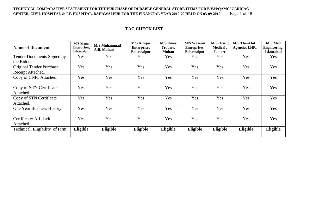#### **TECHNICAL COMPARATIVE STATEMENT FOR THE PURCHASE OF DURABLE GENERAL STORE ITEMS FOR B.V.H/QAMC/ CARDIAC CENTER, CIVIL HOSPITAL & J.F. HOSPITAL, BAHAWALPUR FOR THE FINANCIAL YEAR 2019-20 HELD ON 03-09-2019** Page 1 of 18

### **TAC CHECK LIST**

| <b>Name of Document</b>                              | <b>M/S Moon</b><br>Enterprises,<br><b>Bahawalpur</b> | <b>M/S Muhammad</b><br>Asif, Multan | <b>M/S Attique</b><br><b>Enterprises</b><br><b>Bahawalpur</b> | <b>M/S Umer</b><br>Traders,<br><b>Multan</b> | <b>M/S Waseem</b><br>Enterprises,<br><b>Bahawalpur</b> | <b>M/S Orient</b><br>Medical,<br>Lahore | <b>M/S Thankful</b><br><b>Agencies LHR.</b> | M/S Med<br><b>Engineering,</b><br><b>Islamabad</b> |
|------------------------------------------------------|------------------------------------------------------|-------------------------------------|---------------------------------------------------------------|----------------------------------------------|--------------------------------------------------------|-----------------------------------------|---------------------------------------------|----------------------------------------------------|
| <b>Tender Documents Signed by</b><br>the Bidder      | Yes                                                  | Yes                                 | <b>Yes</b>                                                    | Yes                                          | Yes                                                    | Yes                                     | Yes                                         | Yes                                                |
| <b>Original Tender Purchase</b><br>Receipt Attached. | Yes                                                  | Yes                                 | Yes                                                           | Yes                                          | Yes                                                    | Yes                                     | Yes                                         | Yes                                                |
| Copy of CNIC Attached.                               | Yes                                                  | Yes                                 | Yes                                                           | Yes                                          | Yes                                                    | Yes                                     | Yes                                         | Yes                                                |
| Copy of NTN Certificate<br>Attached.                 | Yes                                                  | Yes                                 | Yes                                                           | Yes                                          | Yes                                                    | Yes                                     | Yes                                         | Yes                                                |
| Copy of STN Certificate<br>Attached.                 | Yes                                                  | Yes                                 | Yes                                                           | Yes                                          | Yes                                                    | Yes                                     | Yes                                         | Yes                                                |
| One Year Business History                            | Yes                                                  | Yes                                 | Yes                                                           | Yes                                          | Yes                                                    | Yes                                     | Yes                                         | Yes                                                |
| Certificate/ Affidavit<br>Attached.                  | Yes                                                  | Yes                                 | Yes                                                           | Yes                                          | Yes                                                    | Yes                                     | Yes                                         | Yes                                                |
| Technical Eligibility of Firm                        | Eligible                                             | Eligible                            | Eligible                                                      | Eligible                                     | Eligible                                               | Eligible                                | Eligible                                    | Eligible                                           |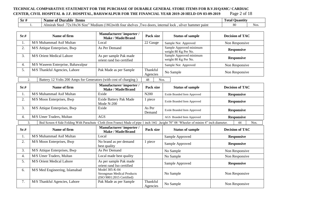#### TECHNICAL COMPARATIVE STATEMENT FOR THE PURCHASE OF DURABLE GENERAL STORE ITEMS FOR B.V.H/QAMC/ CARDIAC<br>CENTER, CIVIL HOSPITAL & J.F. HOSPITAL, BAHAWALPUR FOR THE FINANCIAL YEAR 2019-20 HELD ON 03-09-2019 Page 2 of 18 **CENTER, CIVIL HOSPITAL & J.F. HOSPITAL, BAHAWALPUR FOR THE FINANCIAL YEAR 2019-20 HELD ON 03-09-2019**

| Ы | ltems<br>0İ<br>Durable<br>Name                                                                                                                                                                                                                    | $\overline{ }$<br>Ouantity<br><b>Total</b> |      |
|---|---------------------------------------------------------------------------------------------------------------------------------------------------------------------------------------------------------------------------------------------------|--------------------------------------------|------|
|   | . .<br>.0 <sup>o</sup><br>interna<br>lock<br>W <sup>0</sup><br>hammer paint<br>S <sub>1</sub> ze<br>318X36<br>Medium<br>silver<br>Almırah<br>tour<br>shelve<br>1)With<br>Nt≙≏<br>$^{\prime}$<br>door<br>$\alpha$<br>паг<br>$\sim$<br>. <i>. .</i> | 80                                         | Nos. |

| Sr.# | Name of firm                                                                                                                           | Manufacturer/importer/<br><b>Make / Made/Brand</b>                               | Pack size            | <b>Status of sample</b>                         | <b>Decision of TAC</b> |
|------|----------------------------------------------------------------------------------------------------------------------------------------|----------------------------------------------------------------------------------|----------------------|-------------------------------------------------|------------------------|
| 1.   | M/S Muhammad Asif Multan                                                                                                               | Local                                                                            | 22 Gauge             | Sample Not Approved                             | Non Responsive         |
| 2.   | M/S Attique Enterprises, Bwp                                                                                                           | As Per Demand                                                                    |                      | Sample Approved minimum<br>weight 80 Kg Per No. | <b>Responsive</b>      |
| 3.   | M/S Orient Medical Lahore                                                                                                              | As per sample Pak made<br>orient rand Iso certified                              |                      | Sample Approved minimum<br>weight 80 Kg Per No. | <b>Responsive</b>      |
| 4.   | M/S Waseem Enterprise, Bahawalpur                                                                                                      |                                                                                  |                      | Sample Not Approved                             | Non Responsive         |
| 5.   | M/S Thankful Agencies, Lahore                                                                                                          | Pak Made as per Sample                                                           | Thankful<br>Agencies | No Sample                                       | Non Responsive         |
| 2.   | Battery 12 Volts 200 Amps for Generators (with cost of charging)                                                                       |                                                                                  | 48<br>Nos.           |                                                 |                        |
| Sr.# | Name of firm                                                                                                                           | Manufacturer/importer/<br><b>Make / Made/Brand</b>                               | Pack size            | <b>Status of sample</b>                         | <b>Decision of TAC</b> |
| 1.   | M/S Muhammad Asif Multan                                                                                                               | Exide                                                                            | N200                 | Exide Branded Item Approved                     | <b>Responsive</b>      |
| 2.   | M/S Moon Enterprises, Bwp                                                                                                              | Exide Battery Pak Made<br>Mode N-200                                             | 1 piece              | Exide Branded Item Approved                     | <b>Responsive</b>      |
| 3.   | M/S Attique Enterprises, Bwp                                                                                                           | Exide                                                                            | As Per<br>Demand     | Exide Branded Item Approved                     | <b>Responsive</b>      |
| 4.   | M/S Umer Traders, Multan                                                                                                               | <b>AGS</b>                                                                       |                      | AGS Branded Item Approved                       | <b>Responsive</b>      |
| 3.   | Bed Screen 4 Side Folding With Parachute Cloth (Iron Frame) Made of pipe 1 inch 16G ,height 70" 08 'Wheeler of minim 4" inch diameter. |                                                                                  |                      |                                                 | 44<br>Nos.             |
| Sr.# | Name of firm                                                                                                                           | Manufacturer/importer/<br><b>Make / Made/Brand</b>                               | Pack size            | <b>Status of sample</b>                         | <b>Decision of TAC</b> |
| 1.   | M/S Muhammad Asif Multan                                                                                                               | Local                                                                            |                      | Sample Approved                                 | <b>Responsive</b>      |
| 2.   | M/S Moon Enterprises, Bwp                                                                                                              | No brand as per demand<br>best quality                                           | 1 piece              | Sample Approved                                 | <b>Responsive</b>      |
| 3.   | M/S Attique Enterprises, Bwp                                                                                                           | As Per Demand                                                                    |                      | No Sample                                       | Non Responsive         |
| 4.   | M/S Umer Traders, Multan                                                                                                               | Local made best quality                                                          |                      | No Sample                                       | Non Responsive         |
| 5.   | M/S Orient Medical Lahore                                                                                                              | As per sample Pak made<br>orient rand Iso certified                              |                      | Sample Approved                                 | <b>Responsive</b>      |
| 6.   | M/S Med Engineering, Islamabad                                                                                                         | Model 305-K-04<br><b>Strongman Medical Products</b><br>(ISO 9001:2015 Certified) |                      | No Sample                                       | Non Responsive         |
| 7.   | M/S Thankful Agencies, Lahore                                                                                                          | Pak Made as per Sample                                                           | Thankful<br>Agencies | No Sample                                       | Non Responsive         |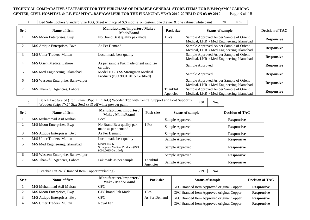#### **TECHNICAL COMPARATIVE STATEMENT FOR THE PURCHASE OF DURABLE GENERAL STORE ITEMS FOR B.V.H/QAMC/ CARDIAC CENTER, CIVIL HOSPITAL & J.F. HOSPITAL, BAHAWALPUR FOR THE FINANCIAL YEAR 2019-20 HELD ON 03-09-2019** Page 3 of 18

| 4.   |                                   | Bed Side Lockers Standard Size 18G, Sheet with top of S.S mobile on castors, one drawer & one cabinet white paint |                      | 200<br>Nos.                                                                         |                        |
|------|-----------------------------------|-------------------------------------------------------------------------------------------------------------------|----------------------|-------------------------------------------------------------------------------------|------------------------|
| Sr.# | Name of firm                      | Manufacturer/importer / Make /<br>Made/Brand                                                                      | Pack size            | <b>Status of sample</b>                                                             | <b>Decision of TAC</b> |
| 1.   | M/S Moon Enterprises, Bwp         | No Brand Best quality pak made                                                                                    | 1 Pcs                | Sample Approved As per Sample of Orient<br>Medical, LHR / Med Engineering Islamabad | <b>Responsive</b>      |
| 2.   | M/S Attique Enterprises, Bwp      | As Per Demand                                                                                                     |                      | Sample Approved As per Sample of Orient<br>Medical, LHR / Med Engineering Islamabad | <b>Responsive</b>      |
| 3.   | M/S Umer Traders, Multan          | Local made best quality                                                                                           |                      | Sample Approved As per Sample of Orient<br>Medical, LHR / Med Engineering Islamabad | <b>Responsive</b>      |
| 4.   | M/S Orient Medical Lahore         | As per sample Pak made orient rand Iso<br>certified                                                               |                      | Sample Approved                                                                     | <b>Responsive</b>      |
| 5.   | M/S Med Engineering, Islamabad    | Model 106-D SS Strongman Medical<br>Products (ISO 9001:2015 Certified)                                            |                      | Sample Approved                                                                     | <b>Responsive</b>      |
| 6.   | M/S Waseem Enterprise, Bahawalpur |                                                                                                                   |                      | Sample Approved As per Sample of Orient<br>Medical, LHR / Med Engineering Islamabad | <b>Responsive</b>      |
| 7.   | M/S Thankful Agencies, Lahore     |                                                                                                                   | Thankful<br>Agencies | Sample Approved As per Sample of Orient<br>Medical, LHR / Med Engineering Islamabad | <b>Responsive</b>      |

5. Bench Two Seated (Iron Frame (Pipe 1x1" 16G) Wooden Top with Central Support and Foot Support 7 Bench Two Seated (from Frame (Fipe TXT ToO) wooden Top with Central Support and Foot Support 7 280 Nos.<br>Wooden Strips1"x2" Size 36x18x18 off white powder paint

| Sr.# | Name of firm                      | Manufacturer/importer/<br>Make / Made/Brand                             | Pack size            | <b>Status of sample</b> | <b>Decision of TAC</b> |
|------|-----------------------------------|-------------------------------------------------------------------------|----------------------|-------------------------|------------------------|
| 1.   | M/S Muhammad Asif Multan          | Local                                                                   |                      | Sample Approved         | <b>Responsive</b>      |
| 2.   | M/S Moon Enterprises, Bwp         | No Brand Best quality pak<br>made as per demand                         | l Pcs                | Sample Approved         | <b>Responsive</b>      |
| 3.   | M/S Attique Enterprises, Bwp      | As Per Demand                                                           |                      | Sample Approved         | <b>Responsive</b>      |
| 4.   | M/S Umer Traders, Multan          | Local made best quality                                                 |                      | Sample Approved         | <b>Responsive</b>      |
| 5.   | M/S Med Engineering, Islamabad    | Model 115-K<br>Strongman Medical Products (ISO)<br>9001:2015 Certified) |                      | Sample Approved         | <b>Responsive</b>      |
| 6.   | M/S Waseem Enterprise, Bahawalpur |                                                                         |                      | Sample Approved         | <b>Responsive</b>      |
| 7.   | M/S Thankful Agencies, Lahore     | Pak made as per sample                                                  | Thankful<br>Agencies | Sample Approved         | <b>Responsive</b>      |

6. Bracket Fan 24" (Branded Item Copper rewinding) 229 | Nos.

| Sr.# | Name of firm                 | Manufacturer/importer/<br>Make / Made/Brand | Pack size     | <b>Status of sample</b>                   | <b>Decision of TAC</b> |
|------|------------------------------|---------------------------------------------|---------------|-------------------------------------------|------------------------|
|      | M/S Muhammad Asif Multan     | GFC                                         |               | GFC Branded Item Approved original Copper | <b>Responsive</b>      |
|      | M/S Moon Enterprises, Bwp    | GFC brand Pak Made                          | 1Pcs          | GFC Branded Item Approved original Copper | <b>Responsive</b>      |
|      | M/S Attique Enterprises, Bwp | <b>GFC</b>                                  | As Per Demand | GFC Branded Item Approved original Copper | <b>Responsive</b>      |
|      | M/S Umer Traders, Multan     | Royal Fan                                   |               | GFC Branded Item Approved original Copper | <b>Responsive</b>      |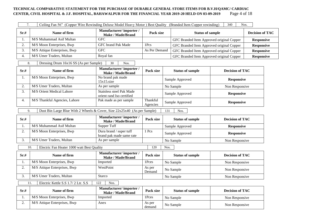#### TECHNICAL COMPARATIVE STATEMENT FOR THE PURCHASE OF DURABLE GENERAL STORE ITEMS FOR B.V.H/QAMC/ CARDIAC<br>CENTER, CIVIL HOSPITAL & J.F. HOSPITAL, BAHAWALPUR FOR THE FINANCIAL YEAR 2019-20 HELD ON 03-09-2019 Page 4 of 18 **CENTER, CIVIL HOSPITAL & J.F. HOSPITAL, BAHAWALPUR FOR THE FINANCIAL YEAR 2019-20 HELD ON 03-09-2019**

|                                                                                               | 7.<br>Ceiling Fan 56" (Copper Wire Rewinding Deluxe Model Heavy Motor) Best Quality (Branded Item Copper rewinding)<br>340<br>Nos. |                                                       |                                           |                 |                                           |                        |                        |
|-----------------------------------------------------------------------------------------------|------------------------------------------------------------------------------------------------------------------------------------|-------------------------------------------------------|-------------------------------------------|-----------------|-------------------------------------------|------------------------|------------------------|
| Sr.#                                                                                          | Name of firm                                                                                                                       | Manufacturer/importer/<br>Make / Made/Brand           | Pack size                                 |                 | <b>Status of sample</b>                   |                        | <b>Decision of TAC</b> |
| 1.                                                                                            | M/S Muhammad Asif Multan                                                                                                           | <b>GFC</b>                                            | GFC Branded Item Approved original Copper |                 |                                           | <b>Responsive</b>      |                        |
| 2.                                                                                            | M/S Moon Enterprises, Bwp                                                                                                          | <b>GFC</b> brand Pak Made                             | 1Pcs                                      |                 | GFC Branded Item Approved original Copper |                        | <b>Responsive</b>      |
| 3.                                                                                            | M/S Attique Enterprises, Bwp                                                                                                       | <b>GFC</b>                                            | As Per Demand                             |                 | GFC Branded Item Approved original Copper |                        | <b>Responsive</b>      |
| 4.                                                                                            | M/S Umer Traders, Multan                                                                                                           | Royal fan                                             |                                           |                 | GFC Branded Item Approved original Copper |                        | <b>Responsive</b>      |
| 8.                                                                                            | Dressing Drum 16x16 SS (As per Sample)                                                                                             | 30<br>Nos.                                            |                                           |                 |                                           |                        |                        |
| Sr.#                                                                                          | Name of firm                                                                                                                       | Manufacturer/importer/<br><b>Make / Made/Brand</b>    | Pack size                                 |                 | <b>Status of sample</b>                   | <b>Decision of TAC</b> |                        |
| 1.                                                                                            | M/S Moon Enterprises, Bwp                                                                                                          | No brand pak made<br>15x15.size                       |                                           |                 | Sample Approved                           | <b>Responsive</b>      |                        |
| 2.                                                                                            | M/S Umer Traders, Multan                                                                                                           | As per sample                                         |                                           |                 | No Sample                                 | Non Responsive         |                        |
| 3.                                                                                            | M/S Orient Medical Lahore                                                                                                          | Stainless steel Pak Made<br>orient rand Iso certified |                                           |                 | Sample Approved                           | <b>Responsive</b>      |                        |
| 4.                                                                                            | M/S Thankful Agencies, Lahore                                                                                                      | Pak made as per sample                                | Thankful<br>Agencies                      | Sample Approved |                                           | <b>Responsive</b>      |                        |
| Dust Bin Large Blue With 2 Wheels & Cover, Size 22x25x40 (As per Sample)<br>9.<br>131<br>Nos. |                                                                                                                                    |                                                       |                                           |                 |                                           |                        |                        |
| Sr.#                                                                                          | Name of firm                                                                                                                       | Manufacturer/importer/<br><b>Make / Made/Brand</b>    | Pack size                                 |                 | <b>Status of sample</b>                   | <b>Decision of TAC</b> |                        |
| 1.                                                                                            | M/S Muhammad Asif Multan                                                                                                           | Supper Tuff                                           |                                           |                 | Sample Approved                           | <b>Responsive</b>      |                        |
| 2.                                                                                            | M/S Moon Enterprises, Bwp                                                                                                          | Dura brand / super tuff<br>brand pak made same rate   | 1 Pcs                                     |                 | Sample Approved                           | <b>Responsive</b>      |                        |
| 3.                                                                                            | M/S Umer Traders, Multan                                                                                                           | As per sample                                         |                                           |                 | No Sample                                 | Non Responsive         |                        |
|                                                                                               | Electric Fan Heater 1000 watt Best Quality<br>10.                                                                                  |                                                       | 120                                       | Nos.            |                                           |                        |                        |
| Sr.#                                                                                          | Name of firm                                                                                                                       | Manufacturer/importer/<br><b>Make / Made/Brand</b>    | Pack size                                 |                 | <b>Status of sample</b>                   | <b>Decision of TAC</b> |                        |
| 1.                                                                                            | M/S Moon Enterprises, Bwp                                                                                                          | Imported                                              | 1Pces                                     |                 | No Sample                                 | Non Responsive         |                        |
| 2.                                                                                            | M/S Attique Enterprises, Bwp                                                                                                       | WestPoint                                             | As per<br>Demand                          |                 | No Sample                                 | Non Responsive         |                        |
| 3.                                                                                            | M/S Umer Traders, Multan                                                                                                           | Starco                                                |                                           |                 | No Sample                                 | Non Responsive         |                        |
|                                                                                               | Electric Kettle S.S 1.7/2 Ltr. S.S<br>11.                                                                                          | 122<br>Nos.                                           |                                           |                 |                                           |                        |                        |
| Sr.#                                                                                          | Name of firm                                                                                                                       | Manufacturer/importer/<br><b>Make / Made/Brand</b>    | Pack size                                 |                 | <b>Status of sample</b>                   | <b>Decision of TAC</b> |                        |
| 1.                                                                                            | M/S Moon Enterprises, Bwp                                                                                                          | Imported                                              | 1Pces                                     |                 | No Sample                                 | Non Responsive         |                        |
| 2.                                                                                            | M/S Attique Enterprises, Bwp                                                                                                       | Anex                                                  | As per<br>demand                          |                 | No Sample                                 | Non Responsive         |                        |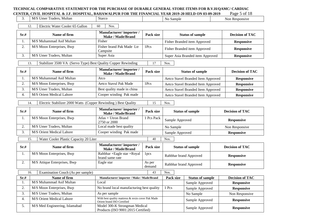# **TECHNICAL COMPARATIVE STATEMENT FOR THE PURCHASE OF DURABLE GENERAL STORE ITEMS FOR B.V.H/QAMC/ CARDIAC**

**CENTER, CIVIL HOSPITAL & J.F. HOSPITAL, BAHAWALPUR FOR THE FINANCIAL YEAR 2019-20 HELD ON 03-09-2019** Page 5 of 18<br>
3. M/S Umer Traders, Multan Starco Material Starce Multan Starce 3. M/S Umer Traders, Multan Starco Starco No Sample No Sample Non Responsive

12. Electric Water Cooler 65 Gallon 60 Nos.

| Sr.# | Name of firm              | Manufacturer/importer/<br>Make / Made/Brand | Pack size | <b>Status of sample</b>          | <b>Decision of TAC</b> |
|------|---------------------------|---------------------------------------------|-----------|----------------------------------|------------------------|
|      | M/S Muhammad Asif Multan  | Fisher                                      |           | Fisher Branded item Approved     | <b>Responsive</b>      |
|      | M/S Moon Enterprises, Bwp | Fisher brand Pak Made Ltr<br>Campsite       | 1Pcs      | Fisher Branded item Approved     | <b>Responsive</b>      |
|      | M/S Umer Traders, Multan  | Super Asia                                  |           | Super Asia Branded item Approved | <b>Responsive</b>      |
|      |                           |                                             |           |                                  |                        |

13. Stabilizer 3500 VA (Servo Type) Best Quality Copper Rewinding 17 Nos.

| Sr.# | Name of firm              | Manufacturer/importer/<br>Make / Made/Brand | Pack size | <b>Status of sample</b>            | <b>Decision of TAC</b> |
|------|---------------------------|---------------------------------------------|-----------|------------------------------------|------------------------|
|      | M/S Muhammad Asif Multan  | Atco                                        |           | Aetco Stavel Branded Item Approved | <b>Responsive</b>      |
|      | M/S Moon Enterprises, Bwp | Aetco Stavul Pak Made                       | 1Pcs      | Aetco Stavel Branded Item Approved | <b>Responsive</b>      |
|      | M/S Umer Traders, Multan  | Best quality made in china                  |           | Aetco Stavel Branded Item Approved | <b>Responsive</b>      |
|      | M/S Orient Medical Lahore | Cooper winding Pak made                     |           | Aetco Stavel Branded Item Approved | <b>Responsive</b>      |

14. Electric Stabilizer 2000 Watts (Copper Rewinding ) Best Quality 15 Nos.

| Sr.# | Name of firm              | Manufacturer/importer/<br>Make / Made/Brand | Pack size  | <b>Status of sample</b> | <b>Decision of TAC</b> |
|------|---------------------------|---------------------------------------------|------------|-------------------------|------------------------|
|      | M/S Moon Enterprises, Bwp | Atlas + Utron Brand<br>2750 or 2000         | 1 Pcs Pack | Sample Approved         | <b>Responsive</b>      |
|      | M/S Umer Traders, Multan  | Local made best quality                     |            | No Sample               | Non Responsive         |
|      | M/S Orient Medical Lahore | Cooper winding Pak made                     |            | Sample Approved         | <b>Responsive</b>      |
|      |                           |                                             |            |                         |                        |

15. Water Cooler Plastic Capacity 20 Liter 40 Nos.

 $\blacksquare$ 

| Sr.# | Name of firm                 | Manufacturer/importer/<br><b>Make / Made/Brand</b> | Pack size        | <b>Status of sample</b> | <b>Decision of TAC</b> |
|------|------------------------------|----------------------------------------------------|------------------|-------------------------|------------------------|
|      | M/S Moon Enterprises, Bwp    | Rahbhar + Eagle star + Royal<br>brand same rate    | 1 <sub>pcs</sub> | Rahbhar brand Approved  | <b>Responsive</b>      |
| ,.   | M/S Attique Enterprises, Bwp | Eagle star                                         | As per<br>demand | Rahbhar brand Approved  | <b>Responsive</b>      |

|         | Examination Couch (As per sample)<br>16. | 43                                                                              | Nos.      |                         |                        |
|---------|------------------------------------------|---------------------------------------------------------------------------------|-----------|-------------------------|------------------------|
| Sr.#    | Name of firm                             | Manufacturer/importer / Make / Made/Brand                                       | Pack size | <b>Status of sample</b> | <b>Decision of TAC</b> |
|         | M/S Muhammad Asif Multan                 | Local                                                                           |           | Sample Approved         | <b>Responsive</b>      |
| ◠<br>۷. | M/S Moon Enterprises, Bwp                | No brand local manufacturing best quality                                       | 1 Pcs     | Sample Approved         | <b>Responsive</b>      |
| 2       | M/S Umer Traders, Multan                 | As per sample                                                                   |           | No Sample               | Non Responsive         |
| 4.      | M/S Orient Medical Lahore                | With best quality mattress & rexin cover Pak Made<br>Orient brand ISO Certified |           | Sample Approved         | <b>Responsive</b>      |
|         | M/S Med Engineering, Islamabad           | Model 300-K Strongman Medical<br>Products (ISO 9001:2015 Certified)             |           | Sample Approved         | <b>Responsive</b>      |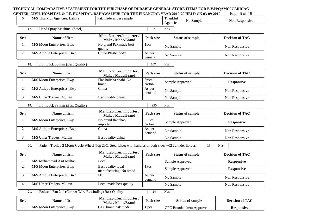#### **TECHNICAL COMPARATIVE STATEMENT FOR THE PURCHASE OF DURABLE GENERAL STORE ITEMS FOR B.V.H/QAMC/ CARDIAC CENTER, CIVIL HOSPITAL & J.F. HOSPITAL, BAHAWALPUR FOR THE FINANCIAL YEAR 2019-20 HELD ON 03-09-2019** Page 6 of 18 6. M/S Thankful Agencies, Lahore Pak made as per sample Thankful Agencies No Sample Non Responsive 17. Hand Spray Machine (Steel) 7 Nos. **Sr.# Name of firm Manufacturer/ importer / Manufacturer/ importer / Make / Made/Brand Pack size Status of sample Decision of TAC** 1. M/S Moon Enterprises, Bwp No brand Pak made best quality<br>Chine Plastic body 1 pcs No Sample Non Responsive 2. | M/S Attique Enterprises, Bwp | Chine Plastic body | As per  $\begin{array}{c|c}\n\hline\n\text{As per} \\
\text{demand}\n\end{array}$  No Sample Non Responsive 18. Iron Lock 50 mm (Best Quality) 1074 Nos. **Sr.# Name of firm Manufacturer/ importer / Make / Made/Brand Pack size Status of sample Decision of TAC** 1. M/S Moon Enterprises, Bwp Flat Balicha chabi No brand 6pics carton Sample Approved **Responsive** 2. M/S Attique Enterprises, Bwp China As per  $\frac{d}{d}$  No Sample Non Responsive 3. | M/S Umer Traders, Multan | Best quality china | No Sample No Sample Non Responsive 19. Iron Lock 38 mm (Best Quality) 950 Nos. **Sr.# Name of firm Manufacturer/ importer / Make / Made/Brand Pack size Status of sample Decision of TAC** 1. M/S Moon Enterprises, Bwp No brand flat chabi imported 6 Pics carton Sample Approved **Responsive** 2. M/S Attique Enterprises, Bwp China As per  $\frac{d}{d}$  No Sample Non Responsive 3. M/S Umer Traders, Multan Best quality china No Sample No Sample Non Responsive 20. Patient Trolley 2 Motor Cycle Wheel Top 20G, Steel sheet with handles or both sides +02 cylinder holder. 35 Nos. **Sr.# Name of firm Name of firm Manufacturer/ importer / Make / Made/Brand Pack size Status of sample Decision of TAC** 1. M/S Muhammad Asif Multan **Local** Local Sample Approved **Responsive** 2.  $M/S$  Moon Enterprises, Bwp Best quality local manufacturing No brand 1Pcs Sample Approved **Responsive**  $\overline{\text{3.}}$  M/S Attique Enterprises, Bwp Pk As per As per No Sample Non Responsive Non Responsive 4. M/S Umer Traders, Multan Local made best quality No Sample Non Responsive 21. Pedestal Fan 24" (Copper Wire Rewinding) Best Quality 14 | Nos.

| Sr.# | Name of firm              | <b>Manufacturer/</b> importer<br><b>Make / Made/Brand</b> | <b>Pack size</b> | <b>Status of sample</b>               | <b>Decision of TAC</b> |
|------|---------------------------|-----------------------------------------------------------|------------------|---------------------------------------|------------------------|
|      | M/S Moon Enterprises, Bwp | GFC brand pak made                                        | pcs              | <b>GFC</b><br>S Branded item Approved | <b>Responsive</b>      |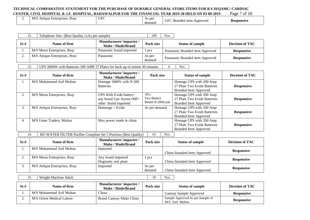#### TECHNICAL COMPARATIVE STATEMENT FOR THE PURCHASE OF DURABLE GENERAL STORE ITEMS FOR B.V.H/QAMC/ CARDIAC<br>CENTER, CIVIL HOSPITAL & J.F. HOSPITAL, BAHAWALPUR FOR THE FINANCIAL YEAR 2019-20 HELD ON 03-09-2019 Page 7 of 18 **CENTER, CIVIL HOSPITAL & J.F. HOSPITAL, BAHAWALPUR FOR THE FINANCIAL YEAR 2019-20 HELD ON 03-09-2019**

| <u>.</u> | $\mathbf{r}$<br>Attıque<br><b>BWD</b><br>Enterprises.<br>$N\ell$ | <b>GFC</b> | s per<br>- 201<br>demand | GFC<br>Approved<br>: Branded item | <b>Responsive</b> |
|----------|------------------------------------------------------------------|------------|--------------------------|-----------------------------------|-------------------|
|----------|------------------------------------------------------------------|------------|--------------------------|-----------------------------------|-------------------|

| 22.  | Telephone Sets (Best Quality) (As per sample)                               |                                                                           | 200                                     | Nos. |                                                                                         |                        |
|------|-----------------------------------------------------------------------------|---------------------------------------------------------------------------|-----------------------------------------|------|-----------------------------------------------------------------------------------------|------------------------|
| Sr.# | Name of firm                                                                | Manufacturer/importer/<br><b>Make / Made/Brand</b>                        | Pack size                               |      | <b>Status of sample</b>                                                                 | <b>Decision of TAC</b> |
| 1.   | M/S Moon Enterprises, Bwp                                                   | Panasonic brand imported                                                  | 1 pcs                                   |      | Panasonic Branded item Approved                                                         | <b>Responsive</b>      |
| 2.   | M/S Attique Enterprises, Bwp                                                | Panasonic                                                                 | As per<br>demand                        |      | Panasonic Branded item Approved                                                         | <b>Responsive</b>      |
| 23.  | UPS 3000W with Batteries 200 AMP 27 Plates for back up of minim 30 minutes. |                                                                           |                                         | 6    | Nos.                                                                                    |                        |
| Sr.# | Name of firm                                                                | Manufacturer/importer/<br><b>Make / Made/Brand</b>                        | Pack size                               |      | <b>Status of sample</b>                                                                 | <b>Decision of TAC</b> |
| 1.   | M/S Muhammad Asif Multan                                                    | Homage 3000V with N 200<br><b>Batteries</b>                               |                                         |      | Homage UPS with 200 Amp<br>27 Plate Two Exide Batteries<br><b>Branded Item Approved</b> | <b>Responsive</b>      |
| 2.   | M/S Moon Enterprises, Bwp                                                   | UPS With Exide battery<br>any brand Ups Ayeno+MF+<br>other brand imported | 1Pcs<br>Two Battery<br>Model N-200Exide |      | Homage UPS with 200 Amp<br>27 Plate Two Exide Batteries<br><b>Branded Item Approved</b> | <b>Responsive</b>      |
| 3.   | M/S Attique Enterprises, Bwp                                                | $Homeage + Exide$                                                         | As per demand                           |      | Homage UPS with 200 Amp<br>27 Plate Two Exide Batteries<br><b>Branded Item Approved</b> | <b>Responsive</b>      |
| 4.   | M/S Umer Traders, Multan                                                    | Max power made in china                                                   |                                         |      | Homage UPS with 200 Amp<br>27 Plate Two Exide Batteries<br><b>Branded Item Approved</b> | <b>Responsive</b>      |
| 24.  | RO WATER FILTER Purifier Complete Set 5 Portions (Best Quality)             |                                                                           | 65                                      | Nos. |                                                                                         |                        |
| Sr.# | Name of firm                                                                | Manufacturer/importer/<br>Make / Made/Brand                               | Pack size                               |      | <b>Status of sample</b>                                                                 | <b>Decision of TAC</b> |

|    |                              | IVIANC / IVIAUC/DI AIIU                   |                  |                              |                   |
|----|------------------------------|-------------------------------------------|------------------|------------------------------|-------------------|
|    | M/S Muhammad Asif Multan     | Imported                                  |                  | China Standard item Approved | <b>Responsive</b> |
| ,. | M/S Moon Enterprises, Bwp    | Any brand imported<br>Dogmatic unit plant | 1 pcs            | China Standard item Approved | <b>Responsive</b> |
|    | M/S Attique Enterprises, Bwp | Imported                                  | As per<br>demand | China Standard item Approved | <b>Responsive</b> |

25. Weight Machine Adult 20 Nos.

| Sr.# | Name of firm              | Manufacturer/importer/<br>Make / Made/Brand | Pack size | <b>Status of sample</b>                             | <b>Decision of TAC</b> |
|------|---------------------------|---------------------------------------------|-----------|-----------------------------------------------------|------------------------|
|      | M/S Muhammad Asif Multan  | China                                       |           | Camray Sample Approved                              | <b>Responsive</b>      |
| ـ،   | M/S Orient Medical Lahore | Brand Camray Make China                     |           | Sample Approved As per Sample of<br>M/S Asif Multan | <b>Responsive</b>      |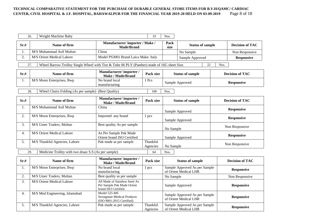#### TECHNICAL COMPARATIVE STATEMENT FOR THE PURCHASE OF DURABLE GENERAL STORE ITEMS FOR B.V.H/QAMC/ CARDIAC<br>CENTER, CIVIL HOSPITAL & J.F. HOSPITAL, BAHAWALPUR FOR THE FINANCIAL YEAR 2019-20 HELD ON 03-09-2019 Page 8 of 18 **CENTER, CIVIL HOSPITAL & J.F. HOSPITAL, BAHAWALPUR FOR THE FINANCIAL YEAR 2019-20 HELD ON 03-09-2019**

|      | 26.<br>Weight Machine Baby                                                                         |                                                                                     | 19                   | Nos.         |                                                        |                        |
|------|----------------------------------------------------------------------------------------------------|-------------------------------------------------------------------------------------|----------------------|--------------|--------------------------------------------------------|------------------------|
| Sr.# | Name of firm                                                                                       | Manufacturer/importer / Make /<br>Made/Brand                                        |                      | Pack<br>size | <b>Status of sample</b>                                | <b>Decision of TAC</b> |
| 1.   | M/S Muhammad Asif Multan                                                                           | China                                                                               |                      |              | No Sample                                              | Non Responsive         |
| 2.   | M/S Orient Medical Lahore                                                                          | Model PS3001 Brand Laica Make: Italy                                                |                      |              | Sample Approved                                        | <b>Responsive</b>      |
|      | Wheel Barrow Trolley Single Wheel with Tire & Tube 06 PLY (Panther) made of 16G sheet Size.<br>27. |                                                                                     |                      |              | 22                                                     | Nos.                   |
| Sr.# | Name of firm                                                                                       | Manufacturer/importer/<br><b>Make / Made/Brand</b>                                  | Pack size            |              | <b>Status of sample</b>                                | <b>Decision of TAC</b> |
| 1.   | M/S Moon Enterprises, Bwp                                                                          | No brand local<br>manufacturing                                                     | 1 Pcs                |              | Sample Approved                                        | <b>Responsive</b>      |
|      | 28.<br>Wheel Chairs Folding (As per sample) (Best Quality)                                         |                                                                                     | 108                  | Nos.         |                                                        |                        |
| Sr.# | Name of firm                                                                                       | Manufacturer/importer/<br><b>Make / Made/Brand</b>                                  | Pack size            |              | <b>Status of sample</b>                                | <b>Decision of TAC</b> |
| 1.   | M/S Muhammad Asif Multan                                                                           | China                                                                               |                      |              | Sample Approved                                        | <b>Responsive</b>      |
| 2.   | M/S Moon Enterprises, Bwp                                                                          | Imported any brand                                                                  | 1 pcs                |              | Sample Approved                                        | <b>Responsive</b>      |
| 3.   | M/S Umer Traders, Multan                                                                           | Best quality As per sample                                                          |                      | No Sample    |                                                        | Non Responsive         |
| 4.   | <b>M/S Orient Medical Lahore</b>                                                                   | As Per Sample Pak Made<br>Orient brand ISO Certified                                |                      |              | Sample Approved                                        | <b>Responsive</b>      |
| 5.   | M/S Thankful Agencies, Lahore                                                                      | Pak made as per sample                                                              | Thankful<br>Agencies | No Sample    |                                                        | Non Responsive         |
|      | Medicine Trolley with two draaz S.S (As per sample)<br>29.                                         |                                                                                     | 64                   | Nos.         |                                                        |                        |
| Sr.# | Name of firm                                                                                       | Manufacturer/importer/<br><b>Make / Made/Brand</b>                                  | Pack size            |              | <b>Status of sample</b>                                | <b>Decision of TAC</b> |
| 1.   | M/S Moon Enterprises, Bwp                                                                          | No brand local<br>manufacturing                                                     | 1 pcs                |              | Sample Approved As per Sample<br>of Orient Medical LHR | <b>Responsive</b>      |
| 2.   | M/S Umer Traders, Multan                                                                           | Best quality as per sample                                                          |                      | No Sample    |                                                        | Non Responsive         |
| 3.   | M/S Orient Medical Lahore                                                                          | All Made of Stainless Steel As<br>Per Sample Pak Made Orient<br>brand ISO Certified |                      |              | Sample Approved                                        | <b>Responsive</b>      |
| 4.   | M/S Med Engineering, Islamabad                                                                     | Model 525-MS<br><b>Strongman Medical Products</b><br>(ISO 9001:2015 Certified)      |                      |              | Sample Approved As per Sample<br>of Orient Medical LHR | <b>Responsive</b>      |
| 5.   | M/S Thankful Agencies, Lahore                                                                      | Pak made as per sample                                                              | Thankful<br>Agencies |              | Sample Approved As per Sample<br>of Orient Medical LHR | <b>Responsive</b>      |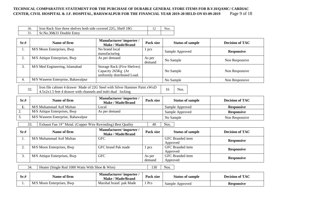#### TECHNICAL COMPARATIVE STATEMENT FOR THE PURCHASE OF DURABLE GENERAL STORE ITEMS FOR B.V.H/QAMC/ CARDIAC<br>CENTER, CIVIL HOSPITAL & J.F. HOSPITAL, BAHAWALPUR FOR THE FINANCIAL YEAR 2019-20 HELD ON 03-09-2019 Page 9 of 18 **CENTER, CIVIL HOSPITAL & J.F. HOSPITAL, BAHAWALPUR FOR THE FINANCIAL YEAR 2019-20 HELD ON 03-09-2019**

| Iron Rack Size three shelves both side covered 22G, Shelf 18G | Nos. |
|---------------------------------------------------------------|------|
| Sr.No.30&31 Double Entry                                      |      |

| Sr.# | Name of firm                                                                                                                                        | Manufacturer/importer/<br>Make / Made/Brand                                             | Pack size        | <b>Status of sample</b> | <b>Decision of TAC</b> |
|------|-----------------------------------------------------------------------------------------------------------------------------------------------------|-----------------------------------------------------------------------------------------|------------------|-------------------------|------------------------|
| 1.   | M/S Moon Enterprises, Bwp                                                                                                                           | No brand local<br>manufacturing                                                         | 1 pcs            | Sample Approved         | <b>Responsive</b>      |
| 2.   | M/S Attique Enterprises, Bwp                                                                                                                        | As per demand                                                                           | As per<br>demand | No Sample               | Non Responsive         |
| 3.   | M/S Med Engineering, Islamabad                                                                                                                      | <b>Storage Rack (Five Shelves)</b><br>Capacity 265Kg (At<br>uniformly distributed Load. |                  | No Sample               | Non Responsive         |
| 4.   | M/S Waseem Enterprise, Bahawalpur                                                                                                                   |                                                                                         |                  | No Sample               | Non Responsive         |
|      | Iron file cabinet 4 drawer Made of 22G Steel with Silver Hammer Paint xWxD<br>32.<br>$4.5x2x1.5$ feet 4 drawer with channels and indri dual locking |                                                                                         |                  | 16<br>Nos.              |                        |
| Sr.# | Name of firm                                                                                                                                        | Manufacturer/importer/<br><b>Make / Made/Brand</b>                                      | Pack size        | <b>Status of sample</b> | <b>Decision of TAC</b> |
| 1.   | M/S Muhammad Asif Multan                                                                                                                            | Local                                                                                   |                  | Sample Approved         | <b>Responsive</b>      |
| 2.   | M/S Attique Enterprises, Bwp                                                                                                                        | As per demand                                                                           |                  | Sample Approved         | <b>Responsive</b>      |
| 3.   | M/S Waseem Enterprise, Bahawalpur                                                                                                                   |                                                                                         |                  | No Sample               | Non Responsive         |
|      | 33.<br>Exhaust Fan 18" Metal. (Copper Wire Rewinding) Best Quality                                                                                  |                                                                                         | 40               | Nos.                    |                        |

| Sr.# | Name of firm                 | Manufacturer/importer/<br>Make / Made/Brand | Pack size | <b>Status of sample</b> | <b>Decision of TAC</b> |
|------|------------------------------|---------------------------------------------|-----------|-------------------------|------------------------|
|      | M/S Muhammad Asif Multan     | <b>GFC</b>                                  |           | <b>GFC</b> Branded item |                        |
|      |                              |                                             |           | Approved                | <b>Responsive</b>      |
|      | M/S Moon Enterprises, Bwp    | GFC brand Pak made                          | pcs       | <b>GFC</b> Branded item | <b>Responsive</b>      |
|      |                              |                                             |           | Approved                |                        |
|      | M/S Attique Enterprises, Bwp | <b>GFC</b>                                  | As per    | <b>GFC</b> Branded item |                        |
|      |                              |                                             | demand    | Approved                | <b>Responsive</b>      |

34. Heater (Single Rod 1000 Watts With Shoe & Wire) 130 Nos.

| Sr.# | Name of firm              | <b>Manufacturer/</b> importer<br><b>Make / Made/Brand</b> | <b>Pack size</b> | <b>Status of sample</b> | <b>Decision of TAC</b> |
|------|---------------------------|-----------------------------------------------------------|------------------|-------------------------|------------------------|
|      | M/S Moon Enterprises, Bwp | Marshal brand pak Made                                    | 1 Pcs            | Sample Approved         | Responsive             |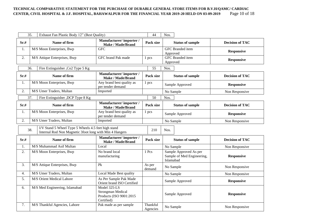#### **TECHNICAL COMPARATIVE STATEMENT FOR THE PURCHASE OF DURABLE GENERAL STORE ITEMS FOR B.V.H/QAMC/ CARDIAC CENTER, CIVIL HOSPITAL & J.F. HOSPITAL, BAHAWALPUR FOR THE FINANCIAL YEAR 2019-20 HELD ON 03-09-2019**

|                  | 35.<br>Exhaust Fan Plastic Body 12" (Best Quality)                                                                    |                                                                            | 44                   | Nos.                                                              |                        |
|------------------|-----------------------------------------------------------------------------------------------------------------------|----------------------------------------------------------------------------|----------------------|-------------------------------------------------------------------|------------------------|
| Sr.#             | Name of firm                                                                                                          | Manufacturer/importer/<br>Make / Made/Brand                                | Pack size            | <b>Status of sample</b>                                           | <b>Decision of TAC</b> |
| 1.               | M/S Moon Enterprises, Bwp                                                                                             | <b>GFC</b>                                                                 |                      | GFC Branded item<br>Approved                                      | <b>Responsive</b>      |
| 2.               | M/S Attique Enterprises, Bwp                                                                                          | GFC brand Pak made                                                         | 1 pcs                | GFC Branded item<br>Approved                                      | <b>Responsive</b>      |
|                  | Fire Extinguisher , Co2 Type 5 Kg<br>36.                                                                              |                                                                            | 55                   | Nos.                                                              |                        |
| Sr.#             | Name of firm                                                                                                          | Manufacturer/importer/<br><b>Make / Made/Brand</b>                         | Pack size            | <b>Status of sample</b>                                           | <b>Decision of TAC</b> |
| 1.               | M/S Moon Enterprises, Bwp                                                                                             | Any brand best quality as<br>per tender demand                             | 1 pcs                | Sample Approved                                                   | <b>Responsive</b>      |
| 2.               | M/S Umer Traders, Multan                                                                                              | Imported                                                                   |                      | No Sample                                                         | Non Responsive         |
|                  | 37.<br>Fire Extinguisher , DCP Type 8 Kg                                                                              |                                                                            | 50                   | Nos.                                                              |                        |
| Sr.#             | Name of firm                                                                                                          | Manufacturer/importer/<br>Make / Made/Brand                                | Pack size            | <b>Status of sample</b>                                           | <b>Decision of TAC</b> |
| 1.               | M/S Moon Enterprises, Bwp                                                                                             | Any brand best quality as<br>per tender demand                             | 1 pcs                | Sample Approved                                                   | <b>Responsive</b>      |
| 2.               | M/S Umer Traders, Multan                                                                                              | Imported                                                                   |                      | No Sample                                                         | Non Responsive         |
|                  | I/V Stand 5 Wheel Type 5 Wheels 4.5 feet high stand<br>38.<br>Internal Rod Non Magnetic 3foot long with Min 4 Hangers |                                                                            | 210                  | Nos.                                                              |                        |
| Sr.#             | Name of firm                                                                                                          | Manufacturer/importer/<br><b>Make / Made/Brand</b>                         | Pack size            | <b>Status of sample</b>                                           | <b>Decision of TAC</b> |
| 1.               | M/S Muhammad Asif Multan                                                                                              | Local                                                                      |                      | No Sample                                                         | Non Responsive         |
| 2.               | M/S Moon Enterprises, Bwp                                                                                             | No brand local<br>manufacturing                                            | 1 Pcs                | Sample Approved As per<br>Sample of Med Engineering,<br>Islamabad | <b>Responsive</b>      |
| 3.               | M/S Attique Enterprises, Bwp                                                                                          | P <sub>k</sub>                                                             | As per<br>demand     | No Sample                                                         | Non Responsive         |
| $\overline{4}$ . | M/S Umer Traders, Multan                                                                                              | Local Made Best quality                                                    |                      | No Sample                                                         | Non Responsive         |
| 5.               | M/S Orient Medical Lahore                                                                                             | As Per Sample Pak Made<br>Orient brand ISO Certified                       |                      | Sample Approved                                                   | <b>Responsive</b>      |
| 6.               | M/S Med Engineering, Islamabad                                                                                        | Model 325-LS<br>Strongman Medical<br>Products (ISO 9001:2015<br>Certified) |                      | Sample Approved                                                   | <b>Responsive</b>      |
| 7.               | M/S Thankful Agencies, Lahore                                                                                         | Pak made as per sample                                                     | Thankful<br>Agencies | No Sample                                                         | Non Responsive         |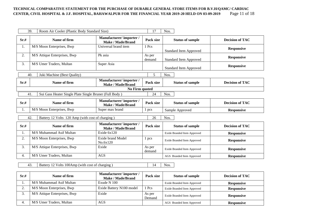#### **TECHNICAL COMPARATIVE STATEMENT FOR THE PURCHASE OF DURABLE GENERAL STORE ITEMS FOR B.V.H/QAMC/ CARDIAC CENTER, CIVIL HOSPITAL & J.F. HOSPITAL, BAHAWALPUR FOR THE FINANCIAL YEAR 2019-20 HELD ON 03-09-2019** Page 11 of 18

|      | 39.<br>Room Air Cooler (Plastic Body Standard Size)                  |                                                    | 17               | Nos.                          |                        |  |  |  |  |
|------|----------------------------------------------------------------------|----------------------------------------------------|------------------|-------------------------------|------------------------|--|--|--|--|
| Sr.# | Name of firm                                                         | Manufacturer/importer/<br><b>Make / Made/Brand</b> | Pack size        | <b>Status of sample</b>       | <b>Decision of TAC</b> |  |  |  |  |
| 1.   | M/S Moon Enterprises, Bwp                                            | Universal brand item                               | 1 Pcs            | <b>Standard Item Approved</b> | <b>Responsive</b>      |  |  |  |  |
| 2.   | M/S Attique Enterprises, Bwp                                         | Pk asia                                            | As per<br>demand | <b>Standard Item Approved</b> | <b>Responsive</b>      |  |  |  |  |
| 3.   | M/S Umer Traders, Multan                                             | Super Asia                                         |                  | <b>Standard Item Approved</b> | <b>Responsive</b>      |  |  |  |  |
|      | 40.<br>Juki Machine (Best Quality)                                   |                                                    | 5                | Nos.                          |                        |  |  |  |  |
| Sr.# | Name of firm                                                         | Manufacturer/importer/<br>Make / Made/Brand        | Pack size        | <b>Status of sample</b>       | <b>Decision of TAC</b> |  |  |  |  |
|      | No Firm quoted                                                       |                                                    |                  |                               |                        |  |  |  |  |
|      | Sui Gass Heater Single Plate Single Bruner (Full Body)<br>41.        |                                                    | 24               | Nos.                          |                        |  |  |  |  |
| Sr.# | Name of firm                                                         | Manufacturer/importer/<br><b>Make / Made/Brand</b> | Pack size        | <b>Status of sample</b>       | <b>Decision of TAC</b> |  |  |  |  |
| 1.   | M/S Moon Enterprises, Bwp                                            | Super max brand                                    | 1 pcs            | Sample Approved               | <b>Responsive</b>      |  |  |  |  |
|      | Battery 12 Volts 120 Amp (with cost of charging)<br>42.              |                                                    | 26               | Nos.                          |                        |  |  |  |  |
| Sr.# | Name of firm                                                         | Manufacturer/importer/<br><b>Make / Made/Brand</b> | Pack size        | <b>Status of sample</b>       | <b>Decision of TAC</b> |  |  |  |  |
| 1.   | M/S Muhammad Asif Multan                                             | Exide 6x120                                        |                  | Exide Branded Item Approved   | <b>Responsive</b>      |  |  |  |  |
| 2.   | M/S Moon Enterprises, Bwp                                            | Exide brand Model<br>No.6x120                      | 1 pcs            | Exide Branded Item Approved   | <b>Responsive</b>      |  |  |  |  |
| 3.   | M/S Attique Enterprises, Bwp                                         | Exide                                              | As per<br>demand | Exide Branded Item Approved   | <b>Responsive</b>      |  |  |  |  |
| 4.   | M/S Umer Traders, Multan                                             | <b>AGS</b>                                         |                  | AGS Branded Item Approved     | <b>Responsive</b>      |  |  |  |  |
|      | 43.<br>Battery 12 Volts 100Amp (with cost of charging)<br>14<br>Nos. |                                                    |                  |                               |                        |  |  |  |  |
| Sr.# | Name of firm                                                         | Manufacturer/importer/<br><b>Make / Made/Brand</b> | Pack size        | <b>Status of sample</b>       | <b>Decision of TAC</b> |  |  |  |  |
| 1.   | M/S Muhammad Asif Multan                                             | Exude N 100                                        |                  | Exide Branded Item Approved   | <b>Responsive</b>      |  |  |  |  |
| 2.   | M/S Moon Enterprises, Bwp                                            | Exide Battery N100 model                           | 1 Pcs            | Exide Branded Item Approved   | <b>Responsive</b>      |  |  |  |  |

4. M/S Umer Traders, Multan **AGS** AGS AGS Branded Item Approved **Responsive** 

Exide Branded Item Approved **Responsive** 

3. M/S Attique Enterprises, Bwp Exide As per Sexual As per Assembly As per Assembly As per Assembly As per Assembly Assembly Assembly Assembly Assembly Assembly Assembly Assembly Assembly Assembly Assembly Assembly Assembl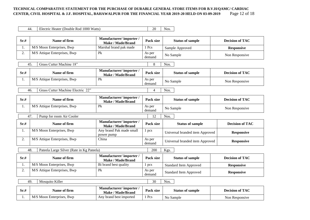#### TECHNICAL COMPARATIVE STATEMENT FOR THE PURCHASE OF DURABLE GENERAL STORE ITEMS FOR B.V.H/QAMC/ CARDIAC<br>CENTER, CIVIL HOSPITAL & J.F. HOSPITAL, BAHAWALPUR FOR THE FINANCIAL YEAR 2019-20 HELD ON 03-09-2019 Page 12 of 18 **CENTER, CIVIL HOSPITAL & J.F. HOSPITAL, BAHAWALPUR FOR THE FINANCIAL YEAR 2019-20 HELD ON 03-09-2019**

44. Electric Heater (Double Rod 1000 Watts) 20 Nos.

| Sr.# | Name of firm                                     | Manufacturer/importer/<br><b>Make / Made/Brand</b> | Pack size        | <b>Status of sample</b>         | <b>Decision of TAC</b> |
|------|--------------------------------------------------|----------------------------------------------------|------------------|---------------------------------|------------------------|
| 1.   | M/S Moon Enterprises, Bwp                        | Marshal brand pak made                             | 1 Pcs            | Sample Approved                 | <b>Responsive</b>      |
| 2.   | M/S Attique Enterprises, Bwp                     | Pk                                                 | As per<br>demand | No Sample                       | Non Responsive         |
|      | Grass Cutter Machine 18"<br>45.                  |                                                    | 8                | Nos.                            |                        |
| Sr.# | Name of firm                                     | Manufacturer/importer/<br><b>Make / Made/Brand</b> | Pack size        | <b>Status of sample</b>         | <b>Decision of TAC</b> |
| 1.   | M/S Attique Enterprises, Bwp                     | Pk                                                 | As per<br>demand | No Sample                       | Non Responsive         |
|      | Grass Cutter Machine Electric 22"<br>46.         |                                                    | 4                | Nos.                            |                        |
| Sr.# | Name of firm                                     | Manufacturer/importer/<br><b>Make / Made/Brand</b> | Pack size        | <b>Status of sample</b>         | <b>Decision of TAC</b> |
| 1.   | M/S Attique Enterprises, Bwp                     | Pk                                                 | As per<br>demand | No Sample                       | Non Responsive         |
|      | 47.<br>Pump for room Air Cooler                  |                                                    | 12               | Nos.                            |                        |
| Sr.# | Name of firm                                     | Manufacturer/importer/<br><b>Make / Made/Brand</b> | Pack size        | <b>Status of sample</b>         | <b>Decision of TAC</b> |
| 1.   | M/S Moon Enterprises, Bwp                        | Any brand Pak made small<br>power pump             | 1 pcs            | Universal branded item Approved | <b>Responsive</b>      |
| 2.   | M/S Attique Enterprises, Bwp                     | China                                              | As per<br>demand | Universal branded item Approved | <b>Responsive</b>      |
|      | 48.<br>Pateela Large Silver (Rate in Kg Pateela) |                                                    | 200              | Kgs.                            |                        |
| Sr.# | Name of firm                                     | Manufacturer/importer/<br><b>Make / Made/Brand</b> | Pack size        | <b>Status of sample</b>         | <b>Decision of TAC</b> |
| 1.   | M/S Moon Enterprises, Bwp                        | Bi brand best quality                              | 1 pcs            | <b>Standard Item Approved</b>   | <b>Responsive</b>      |
| 2.   | M/S Attique Enterprises, Bwp                     | P <sub>k</sub>                                     | As per<br>demand | <b>Standard Item Approved</b>   | <b>Responsive</b>      |
|      | 49.<br>Mosquito Killer                           |                                                    | 30               | Nos.                            |                        |
| Sr.# | Name of firm                                     | Manufacturer/importer/<br><b>Make / Made/Brand</b> | Pack size        | <b>Status of sample</b>         | <b>Decision of TAC</b> |

1. M/S Moon Enterprises, Bwp Any brand best imported 1 Pcs No Sample Non Responsive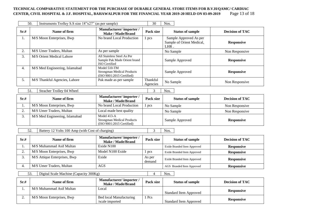#### **TECHNICAL COMPARATIVE STATEMENT FOR THE PURCHASE OF DURABLE GENERAL STORE ITEMS FOR B.V.H/QAMC/ CARDIAC CENTER, CIVIL HOSPITAL & J.F. HOSPITAL, BAHAWALPUR FOR THE FINANCIAL YEAR 2019-20 HELD ON 03-09-2019** Page 13 of 18

|      | 50.<br>Instruments Trolley S.S size 18"x27" (as per sample) |                                                                                    | 30                       | Nos.                                                        |                        |
|------|-------------------------------------------------------------|------------------------------------------------------------------------------------|--------------------------|-------------------------------------------------------------|------------------------|
| Sr.# | Name of firm                                                | Manufacturer/importer/<br><b>Make / Made/Brand</b>                                 | Pack size                | <b>Status of sample</b>                                     | <b>Decision of TAC</b> |
| 1.   | M/S Moon Enterprises, Bwp                                   | No brand Local Production                                                          | 1 pcs                    | Sample Approved As per<br>Sample of Orient Medical,<br>LHR. | <b>Responsive</b>      |
| 2.   | M/S Umer Traders, Multan                                    | As per sample                                                                      |                          | No Sample                                                   | Non Responsive         |
| 3.   | M/S Orient Medical Lahore                                   | All Stainless Steel As Per<br>Sample Pak Made Orient brand<br><b>ISO</b> Certified |                          | Sample Approved                                             | <b>Responsive</b>      |
| 4.   | M/S Med Engineering, Islamabad                              | Model 510-TM<br><b>Strongman Medical Products</b><br>(ISO 9001:2015 Certified)     |                          | Sample Approved                                             | <b>Responsive</b>      |
| 5.   | M/S Thankful Agencies, Lahore                               | Pak made as per sample                                                             | Thankful<br>Agencies     | No Sample                                                   | Non Responsive         |
|      | 51.<br>Stracher Trolley 04 Wheel                            |                                                                                    | 3                        | Nos.                                                        |                        |
| Sr.# | Name of firm                                                | Manufacturer/importer/<br><b>Make / Made/Brand</b>                                 | Pack size                | <b>Status of sample</b>                                     | <b>Decision of TAC</b> |
| 1.   | M/S Moon Enterprises, Bwp                                   | No brand Local Production                                                          | 1 pcs                    | No Sample                                                   | Non Responsive         |
| 2.   | M/S Umer Traders, Multan                                    | Local made best quality                                                            |                          | No Sample                                                   | Non Responsive         |
| 3.   | M/S Med Engineering, Islamabad                              | Model 413-A<br><b>Strongman Medical Products</b><br>(ISO 9001:2015 Certified)      |                          | Sample Approved                                             | <b>Responsive</b>      |
|      | 52.<br>Battery 12 Volts 100 Amp (with Cost of charging)     |                                                                                    | 3                        | Nos.                                                        |                        |
| Sr.# | Name of firm                                                | Manufacturer/importer/<br><b>Make / Made/Brand</b>                                 | Pack size                | <b>Status of sample</b>                                     | <b>Decision of TAC</b> |
| 1.   | M/S Muhammad Asif Multan                                    | Exide N100                                                                         |                          | Exide Branded Item Approved                                 | <b>Responsive</b>      |
| 2.   | M/S Moon Enterprises, Bwp                                   | Model N100 Exide                                                                   | 1 pcs                    | Exide Branded Item Approved                                 | <b>Responsive</b>      |
| 3.   | M/S Attique Enterprises, Bwp                                | Exide                                                                              | As per<br>demand         | Exide Branded Item Approved                                 | <b>Responsive</b>      |
| 4.   | M/S Umer Traders, Multan                                    | <b>AGS</b>                                                                         |                          | AGS Branded Item Approved                                   | <b>Responsive</b>      |
|      | 53.<br>Digital Scale Machine (Capacity 300Kg)               |                                                                                    | $\overline{\mathcal{A}}$ | Nos.                                                        |                        |
| Sr.# | Name of firm                                                | Manufacturer/importer/<br><b>Make / Made/Brand</b>                                 | Pack size                | <b>Status of sample</b>                                     | <b>Decision of TAC</b> |
| 1.   | M/S Muhammad Asif Multan                                    | Local                                                                              |                          |                                                             |                        |

1 Pcs

2. M/S Moon Enterprises, Bwp Bed local Manufacturing

/scale imported

Standard Item Approved **Responsive** 

Standard Item Approved **Responsive**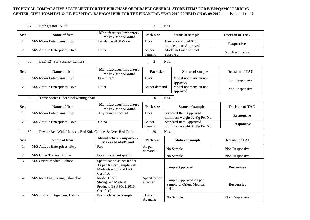#### TECHNICAL COMPARATIVE STATEMENT FOR THE PURCHASE OF DURABLE GENERAL STORE ITEMS FOR B.V.H/QAMC/ CARDIAC<br>CENTER, CIVIL HOSPITAL & J.F. HOSPITAL, BAHAWALPUR FOR THE FINANCIAL YEAR 2019-20 HELD ON 03-09-2019 Page 14 of 18 **CENTER, CIVIL HOSPITAL & J.F. HOSPITAL, BAHAWALPUR FOR THE FINANCIAL YEAR 2019-20 HELD ON 03-09-2019**

|                                                                                 | 54.<br>Refrigerator 15 Cft                    |                                                                                               | $\overline{2}$            | Nos.                                                              |                                                               |                        |
|---------------------------------------------------------------------------------|-----------------------------------------------|-----------------------------------------------------------------------------------------------|---------------------------|-------------------------------------------------------------------|---------------------------------------------------------------|------------------------|
| Sr.#                                                                            | Name of firm                                  | Manufacturer/importer/<br><b>Make / Made/Brand</b>                                            | Pack size                 |                                                                   | <b>Status of sample</b>                                       | <b>Decision of TAC</b> |
| 1.                                                                              | M/S Moon Enterprises, Bwp                     | Dawlance 9188Model                                                                            | 1 pcs                     |                                                                   | Dawlance Model 9188<br>branded item Approved                  | <b>Responsive</b>      |
| 2.                                                                              | M/S Attique Enterprises, Bwp                  | Haier                                                                                         | As per<br>demand          | approved                                                          | Model not mansion not                                         | Non Responsive         |
|                                                                                 | 55.<br>LED 52" For Security Camera            |                                                                                               | 2                         | Nos.                                                              |                                                               |                        |
| Sr.#                                                                            | Name of firm                                  | Manufacturer/importer/<br>Make / Made/Brand                                                   | Pack size                 |                                                                   | <b>Status of sample</b>                                       | <b>Decision of TAC</b> |
| 1.                                                                              | M/S Moon Enterprises, Bwp                     | Orient 50"                                                                                    | 1 Pcs                     |                                                                   | Model not mansion not<br>approved                             | Non Responsive         |
| 2.                                                                              | M/S Attique Enterprises, Bwp                  | Haier                                                                                         | As per demand             |                                                                   | Model not mansion not<br>approved                             | Non Responsive         |
|                                                                                 | 56.<br>Three Seater Dider steel waiting chair |                                                                                               | 50                        | Nos.                                                              |                                                               |                        |
| Sr.#                                                                            | Name of firm                                  | Manufacturer/importer/<br><b>Make / Made/Brand</b>                                            | Pack size                 |                                                                   | <b>Status of sample</b>                                       | <b>Decision of TAC</b> |
| 1.                                                                              | M/S Moon Enterprises, Bwp                     | Any brand imported                                                                            | 1 pcs                     |                                                                   | <b>Standard Item Approved</b><br>minimum weight 32 Kg Per No. | <b>Responsive</b>      |
| 2.                                                                              | M/S Attique Enterprises, Bwp                  | China                                                                                         | As per<br>demand          | <b>Standard Item Approved</b><br>minimum weight 32 Kg Per No      |                                                               | <b>Responsive</b>      |
| $\overline{57}$ .<br>Fowler Bed With Metress, Bed Side Cabinet & Over Bed Table |                                               |                                                                                               |                           | Nos.                                                              |                                                               |                        |
| Sr.#                                                                            | Name of firm                                  | Manufacturer/importer/<br><b>Make / Made/Brand</b>                                            | Pack size                 |                                                                   | <b>Status of sample</b>                                       | <b>Decision of TAC</b> |
| 1.                                                                              | M/S Attique Enterprises, Bwp                  | Pak                                                                                           | As per<br>demand          |                                                                   | No Sample                                                     | Non Responsive         |
| 2.                                                                              | M/S Umer Traders, Multan                      | Local made best quality                                                                       |                           |                                                                   | No Sample                                                     | Non Responsive         |
| 3.                                                                              | M/S Orient Medical Lahore                     | Specification as per tender<br>As per As Per Sample Pak<br>Made Orient brand ISO<br>Certified |                           | Sample Approved                                                   |                                                               | <b>Responsive</b>      |
| 4.                                                                              | M/S Med Engineering, Islamabad                | Model 102-K<br>Strongman Medical<br>Products (ISO 9001:2015<br>Certified)                     | Specification<br>attached | Sample Approved As per<br>Sample of Orient Medical<br>${\rm LHR}$ |                                                               | <b>Responsive</b>      |
| 5.                                                                              | M/S Thankful Agencies, Lahore                 | Pak made as per sample                                                                        | Thankful<br>Agencies      |                                                                   | No Sample                                                     | Non Responsive         |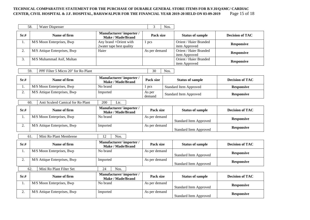#### TECHNICAL COMPARATIVE STATEMENT FOR THE PURCHASE OF DURABLE GENERAL STORE ITEMS FOR B.V.H/QAMC/ CARDIAC<br>CENTER, CIVIL HOSPITAL & J.F. HOSPITAL, BAHAWALPUR FOR THE FINANCIAL YEAR 2019-20 HELD ON 03-09-2019 Page 15 of 18 **CENTER, CIVIL HOSPITAL & J.F. HOSPITAL, BAHAWALPUR FOR THE FINANCIAL YEAR 2019-20 HELD ON 03-09-2019**

| 58.  | Water Dispenser                     |                                                    | 3                | Nos. |                                         |                        |
|------|-------------------------------------|----------------------------------------------------|------------------|------|-----------------------------------------|------------------------|
| Sr.# | Name of firm                        | Manufacturer/importer/<br><b>Make / Made/Brand</b> | Pack size        |      | <b>Status of sample</b>                 | <b>Decision of TAC</b> |
| 1.   | M/S Moon Enterprises, Bwp           | Any brand +Orient with<br>2water tape best quality | 1 pcs            |      | Orient / Haier Branded<br>item Approved | <b>Responsive</b>      |
| 2.   | M/S Attique Enterprises, Bwp        | Haier                                              | As per demand    |      | Orient / Haier Branded<br>item Approved | <b>Responsive</b>      |
| 3.   | M/S Muhammad Asif, Multan           |                                                    |                  |      | Orient / Haier Branded<br>item Approved | <b>Responsive</b>      |
| 59.  | PPF Filter 5 Micro 20" for Ro Plant |                                                    | 30               | Nos. |                                         |                        |
| Sr.# | Name of firm                        | Manufacturer/importer/<br><b>Make / Made/Brand</b> | Pack size        |      | <b>Status of sample</b>                 | <b>Decision of TAC</b> |
| 1.   | M/S Moon Enterprises, Bwp           | No brand                                           | 1 pcs            |      | <b>Standard Item Approved</b>           | <b>Responsive</b>      |
| 2.   | M/S Attique Enterprises, Bwp        | Imported                                           | As per<br>demand |      | <b>Standard Item Approved</b>           | <b>Responsive</b>      |
| 60.  | Anti Sculerd Camical for Ro Plant   | 200<br>Ltr.                                        |                  |      |                                         |                        |
| Sr.# | Name of firm                        | Manufacturer/importer/<br><b>Make / Made/Brand</b> | Pack size        |      | <b>Status of sample</b>                 | <b>Decision of TAC</b> |
| 1.   | M/S Moon Enterprises, Bwp           | No brand                                           | As per demand    |      | <b>Standard Item Approved</b>           | <b>Responsive</b>      |
| 2.   | M/S Attique Enterprises, Bwp        | Imported                                           | As per demand    |      | <b>Standard Item Approved</b>           | <b>Responsive</b>      |
| 61.  | Mini Ro Plant Membrene              | 12<br>Nos.                                         |                  |      |                                         |                        |
| Sr.# | Name of firm                        | Manufacturer/importer/<br><b>Make / Made/Brand</b> | Pack size        |      | <b>Status of sample</b>                 | <b>Decision of TAC</b> |
| 1.   | M/S Moon Enterprises, Bwp           | No brand                                           | As per demand    |      | <b>Standard Item Approved</b>           | <b>Responsive</b>      |
| 2.   | M/S Attique Enterprises, Bwp        | Imported                                           | As per demand    |      | <b>Standard Item Approved</b>           | <b>Responsive</b>      |
| 62.  | Mini Ro Plant Filter Set            | 24<br>Nos.                                         |                  |      |                                         |                        |
| Sr.# | Name of firm                        | Manufacturer/importer/<br><b>Make / Made/Brand</b> | Pack size        |      | <b>Status of sample</b>                 | <b>Decision of TAC</b> |
| 1.   | M/S Moon Enterprises, Bwp           | No brand                                           | As per demand    |      | <b>Standard Item Approved</b>           | <b>Responsive</b>      |
| 2.   | M/S Attique Enterprises, Bwp        | Imported                                           | As per demand    |      | <b>Standard Item Approved</b>           | <b>Responsive</b>      |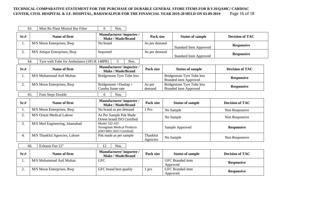#### TECHNICAL COMPARATIVE STATEMENT FOR THE PURCHASE OF DURABLE GENERAL STORE ITEMS FOR B.V.H/QAMC/ CARDIAC<br>CENTER, CIVIL HOSPITAL & J.F. HOSPITAL, BAHAWALPUR FOR THE FINANCIAL YEAR 2019-20 HELD ON 03-09-2019 Page 16 of 18 **CENTER, CIVIL HOSPITAL & J.F. HOSPITAL, BAHAWALPUR FOR THE FINANCIAL YEAR 2019-20 HELD ON 03-09-2019**

| 63.  | Mini Ro Plant Miniral Bar Filter           | Nos.<br>6                                                                      |                      |                                                                   |                        |
|------|--------------------------------------------|--------------------------------------------------------------------------------|----------------------|-------------------------------------------------------------------|------------------------|
| Sr.# | Name of firm                               | Manufacturer/importer/<br><b>Make / Made/Brand</b>                             | Pack size            | <b>Status of sample</b>                                           | <b>Decision of TAC</b> |
| 1.   | M/S Moon Enterprises, Bwp                  | No brand                                                                       | As per demand        | <b>Standard Item Approved</b>                                     | <b>Responsive</b>      |
| 2.   | M/S Attique Enterprises, Bwp               | Imported                                                                       | As per demand        | <b>Standard Item Approved</b>                                     | <b>Responsive</b>      |
| 64.  | Tyre with Tube for Ambulance (185-R 148PR) | 5<br>Nos.                                                                      |                      |                                                                   |                        |
| Sr.# | Name of firm                               | Manufacturer/importer/<br><b>Make / Made/Brand</b>                             | Pack size            | <b>Status of sample</b>                                           | <b>Decision of TAC</b> |
| 1.   | M/S Muhammad Asif Multan                   | <b>Bridgestone Tyre Tube less</b>                                              |                      | <b>Bridgestone Tyre Tube less</b><br><b>Branded item Approved</b> | <b>Responsive</b>      |
| 2.   | M/S Moon Enterprises, Bwp                  | Bridgestone +Dunlap +<br>Cumhu Same rate                                       | As per<br>demand     | <b>Bridgestone Tyre Tube less</b><br><b>Branded item Approved</b> | <b>Responsive</b>      |
| 65.  | Foot Steps Double                          | Nos.<br>6                                                                      |                      |                                                                   |                        |
| Sr.# | Name of firm                               | Manufacturer/importer/<br>Make / Made/Brand                                    | Pack size            | <b>Status of sample</b>                                           | <b>Decision of TAC</b> |
| 1.   | M/S Moon Enterprises, Bwp                  | No brand as per demand                                                         | 1 Pcs                | No Sample                                                         | Non Responsive         |
| 2.   | M/S Orient Medical Lahore                  | As Per Sample Pak Made<br>Orient brand ISO Certified                           |                      | No Sample                                                         | Non Responsive         |
| 3.   | M/S Med Engineering, Islamabad             | Model 332-AD<br><b>Strongman Medical Products</b><br>(ISO 9001:2015 Certified) |                      | Sample Approved                                                   | <b>Responsive</b>      |
| 4.   | M/S Thankful Agencies, Lahore              | Pak made as per sample                                                         | Thankful<br>Agencies | No Sample                                                         | Non Responsive         |
| 66.  | Exhaust Fan 12"                            | 12<br>Nos.                                                                     |                      |                                                                   |                        |

| Sr.# | Name of firm              | Manufacturer/importer/<br>Make / Made/Brand | Pack size | <b>Status of sample</b>      | <b>Decision of TAC</b> |
|------|---------------------------|---------------------------------------------|-----------|------------------------------|------------------------|
|      | M/S Muhammad Asif Multan  | <b>GFC</b>                                  |           | GFC Branded item<br>Approved | <b>Responsive</b>      |
|      | M/S Moon Enterprises, Bwp | GFC brand best quality                      | pcs       | GFC Branded item<br>Approved | <b>Responsive</b>      |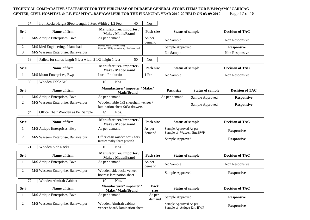#### TECHNICAL COMPARATIVE STATEMENT FOR THE PURCHASE OF DURABLE GENERAL STORE ITEMS FOR B.V.H/QAMC/ CARDIAC<br>CENTER, CIVIL HOSPITAL & J.F. HOSPITAL, BAHAWALPUR FOR THE FINANCIAL YEAR 2019-20 HELD ON 03-09-2019 Page 17 of 18 **CENTER, CIVIL HOSPITAL & J.F. HOSPITAL, BAHAWALPUR FOR THE FINANCIAL YEAR 2019-20 HELD ON 03-09-2019**

|      | 67.<br>Iron Racks Height 5Feet Length 6 Feet Width 2 1/2 Feet     | 40                                                                             | Nos.             |                                                      |                         |                        |                        |
|------|-------------------------------------------------------------------|--------------------------------------------------------------------------------|------------------|------------------------------------------------------|-------------------------|------------------------|------------------------|
| Sr.# | Name of firm                                                      | Manufacturer/importer/<br>Make / Made/Brand                                    | Pack size        | <b>Status of sample</b>                              |                         |                        | <b>Decision of TAC</b> |
| 1.   | M/S Attique Enterprises, Bwp                                      | As per demand                                                                  | As per<br>demand | No Sample                                            |                         |                        | Non Responsive         |
| 2.   | M/S Med Engineering, Islamabad                                    | Storage Racks (Five Shelves)<br>Capacity 265 Kg (at uniformly distributed load |                  | Sample Approved                                      |                         |                        | <b>Responsive</b>      |
| 3.   | M/S Waseem Enterprise, Bahawalpur                                 |                                                                                |                  | No Sample                                            |                         |                        | Non Responsive         |
|      | 68.<br>Pallets for stores length 5 feet width 2 1/2 height 1 feet | 50                                                                             | Nos.             |                                                      |                         |                        |                        |
| Sr.# | Name of firm                                                      | Manufacturer/importer/<br><b>Make / Made/Brand</b>                             | Pack size        | <b>Status of sample</b>                              |                         |                        | <b>Decision of TAC</b> |
| 1.   | M/S Moon Enterprises, Bwp                                         | <b>Local Production</b>                                                        | 1 Pcs            | No Sample                                            |                         |                        | Non Responsive         |
|      | 69.<br>Wooden Table 5x3                                           | Nos.<br>10                                                                     |                  |                                                      |                         |                        |                        |
| Sr.# | Name of firm                                                      | Manufacturer/importer / Make /<br>Made/Brand                                   |                  | Pack size                                            | <b>Status of sample</b> |                        | <b>Decision of TAC</b> |
| 1.   | M/S Attique Enterprises, Bwp                                      | As per demand                                                                  |                  | As per demand                                        | Sample Approved         |                        | <b>Responsive</b>      |
| 2.   | M/S Waseem Enterprise, Bahawalpur                                 | Wooden table 5x3 sheesham veneer /<br>lamination sheet 903) drawers            |                  | Sample Approved                                      |                         |                        | <b>Responsive</b>      |
|      | Office Chair Wooden as Per Sample<br>Nos.<br>70.<br>60            |                                                                                |                  |                                                      |                         |                        |                        |
| Sr.# | Name of firm                                                      | Manufacturer/importer/<br>Make / Made/Brand                                    | Pack size        | <b>Status of sample</b>                              |                         | <b>Decision of TAC</b> |                        |
| 1.   | M/S Attique Enterprises, Bwp                                      | As per demand                                                                  | As per<br>demand | Sample Approved As per<br>Sample of Waseem Ent, BWP  |                         |                        | <b>Responsive</b>      |
| 2.   | M/S Waseem Enterprise, Bahawalpur                                 | Office chair wooden seat / back<br>master molty foam poshish                   |                  |                                                      | Sample Approved         |                        | <b>Responsive</b>      |
|      | 71.<br>Wooden Side Racks                                          | 10<br>Nos.                                                                     |                  |                                                      |                         |                        |                        |
| Sr.# | Name of firm                                                      | Manufacturer/importer/<br><b>Make / Made/Brand</b>                             | Pack size        | <b>Status of sample</b>                              |                         |                        | <b>Decision of TAC</b> |
| 1.   | M/S Attique Enterprises, Bwp                                      | As per demand                                                                  | As per<br>demand | No Sample                                            |                         |                        | Non Responsive         |
| 2.   | M/S Waseem Enterprise, Bahawalpur                                 | Wooden side racks veneer<br>boards/lamination sheet                            |                  | Sample Approved                                      |                         |                        | <b>Responsive</b>      |
|      | 72.<br>Wooden Almirah Cabinet                                     | 10<br>Nos.                                                                     |                  |                                                      |                         |                        |                        |
| Sr.# | Name of firm                                                      | Manufacturer/importer/<br>Make / Made/Brand                                    | Pack<br>size     | <b>Status of sample</b>                              |                         |                        | <b>Decision of TAC</b> |
| 1.   | M/S Attique Enterprises, Bwp                                      | As per demand                                                                  | As per<br>demand | Sample Approved                                      |                         |                        | <b>Responsive</b>      |
| 2.   | M/S Waseem Enterprise, Bahawalpur                                 | Wooden Almirah cabinet<br>veneer board/lamination sheet                        |                  | Sample Approved As per<br>Sample of Attique Ent, BWP |                         |                        | <b>Responsive</b>      |